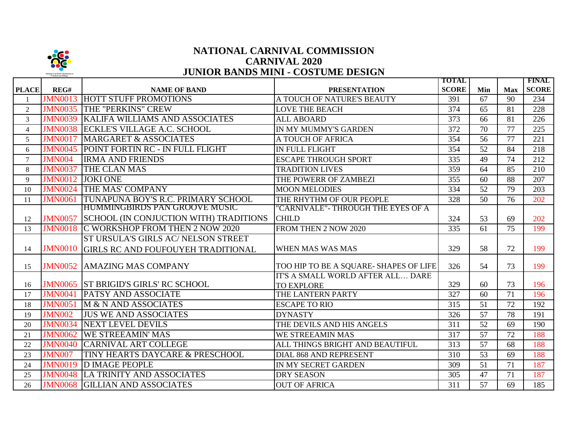

## **NATIONAL CARNIVAL COMMISSION JUNIOR BANDS MINI - COSTUME DESIGN CARNIVAL 2020**

|                |                |                                             |                                        | <b>TOTAL</b> |                 |            | <b>FINAL</b> |
|----------------|----------------|---------------------------------------------|----------------------------------------|--------------|-----------------|------------|--------------|
| <b>PLACE</b>   | REG#           | <b>NAME OF BAND</b>                         | <b>PRESENTATION</b>                    | <b>SCORE</b> | Min             | <b>Max</b> | <b>SCORE</b> |
|                | <b>JMN0013</b> | <b>HOTT STUFF PROMOTIONS</b>                | A TOUCH OF NATURE'S BEAUTY             | 391          | 67              | 90         | 234          |
| $\overline{2}$ | <b>JMN0035</b> | <b>THE "PERKINS" CREW</b>                   | <b>LOVE THE BEACH</b>                  | 374          | 65              | 81         | 228          |
| 3              | <b>JMN0039</b> | <b>KALIFA WILLIAMS AND ASSOCIATES</b>       | <b>ALL ABOARD</b>                      | 373          | 66              | 81         | 226          |
| $\overline{4}$ | <b>JMN0038</b> | <b>ECKLE'S VILLAGE A.C. SCHOOL</b>          | IN MY MUMMY'S GARDEN                   | 372          | 70              | 77         | 225          |
| 5              | <b>JMN0017</b> | <b>MARGARET &amp; ASSOCIATES</b>            | A TOUCH OF AFRICA                      | 354          | 56              | 77         | 221          |
| 6              | <b>JMN0045</b> | POINT FORTIN RC - IN FULL FLIGHT            | IN FULL FLIGHT                         | 354          | 52              | 84         | 218          |
| $\tau$         | <b>JMN004</b>  | <b>IRMA AND FRIENDS</b>                     | <b>ESCAPE THROUGH SPORT</b>            | 335          | 49              | 74         | 212          |
| 8              | <b>JMN0037</b> | <b>THE CLAN MAS</b>                         | <b>TRADITION LIVES</b>                 | 359          | 64              | 85         | 210          |
| 9              | <b>JMN0012</b> | <b>JOKI ONE</b>                             | THE POWERR OF ZAMBEZI                  | 355          | 60              | 88         | 207          |
| 10             | <b>JMN0024</b> | <b>THE MAS' COMPANY</b>                     | <b>MOON MELODIES</b>                   | 334          | 52              | 79         | 203          |
| 11             | <b>JMN0061</b> | TUNAPUNA BOY'S R.C. PRIMARY SCHOOL          | THE RHYTHM OF OUR PEOPLE               | 328          | $\overline{50}$ | 76         | 202          |
|                |                | <b>HUMMINGBIRDS PAN GROOVE MUSIC</b>        | 'CARNIVALE"- THROUGH THE EYES OF A     |              |                 |            |              |
| 12             | <b>JMN0057</b> | SCHOOL (IN CONJUCTION WITH) TRADITIONS      | <b>CHILD</b>                           | 324          | 53              | 69         | 202          |
| 13             | <b>JMN0018</b> | C WORKSHOP FROM THEN 2 NOW 2020             | FROM THEN 2 NOW 2020                   | 335          | 61              | 75         | 199          |
|                |                | ST URSULA'S GIRLS AC/ NELSON STREET         |                                        |              |                 |            |              |
| 14             | <b>JMN0010</b> | <b>GIRLS RC AND FOUFOUYEH TRADITIONAL</b>   | WHEN MAS WAS MAS                       | 329          | 58              | 72         | 199          |
|                |                |                                             |                                        |              |                 |            |              |
| 15             |                | <b>JMN0052 AMAZING MAS COMPANY</b>          | TOO HIP TO BE A SQUARE- SHAPES OF LIFE | 326          | 54              | 73         | 199          |
|                |                |                                             | IT'S A SMALL WORLD AFTER ALL DARE      |              |                 |            |              |
| 16             | <b>JMN0041</b> | <b>JMN0065 ST BRIGID'S GIRLS' RC SCHOOL</b> | <b>TO EXPLORE</b>                      | 329<br>327   | 60              | 73<br>71   | 196          |
| 17             |                | <b>PATSY AND ASSOCIATE</b>                  | THE LANTERN PARTY                      |              | 60              |            | 196          |
| 18             | <b>JMN0051</b> | M & N AND ASSOCIATES                        | <b>ESCAPE TO RIO</b>                   | 315          | 51              | 72         | 192          |
| 19             | <b>JMN002</b>  | <b>JUS WE AND ASSOCIATES</b>                | <b>DYNASTY</b>                         | 326          | 57              | 78         | 191          |
| 20             | <b>JMN0034</b> | NEXT LEVEL DEVILS                           | THE DEVILS AND HIS ANGELS              | 311          | 52              | 69         | 190          |
| 21             | <b>JMN0062</b> | <b>WE STREEAMIN' MAS</b>                    | <b>WE STREEAMIN MAS</b>                | 317          | 57              | 72         | 188          |
| 22             | <b>JMN0040</b> | <b>CARNIVAL ART COLLEGE</b>                 | ALL THINGS BRIGHT AND BEAUTIFUL        | 313          | 57              | 68         | 188          |
| 23             | <b>JMN007</b>  | TINY HEARTS DAYCARE & PRESCHOOL             | <b>DIAL 868 AND REPRESENT</b>          | 310          | 53              | 69         | 188          |
| 24             | <b>JMN0019</b> | <b>D IMAGE PEOPLE</b>                       | IN MY SECRET GARDEN                    | 309          | $\overline{51}$ | 71         | 187          |
| 25             |                | <b>JMN0048 LA TRINITY AND ASSOCIATES</b>    | <b>DRY SEASON</b>                      | 305          | 47              | 71         | 187          |
| 26             |                | <b>JMN0068 GILLIAN AND ASSOCIATES</b>       | <b>OUT OF AFRICA</b>                   | 311          | 57              | 69         | 185          |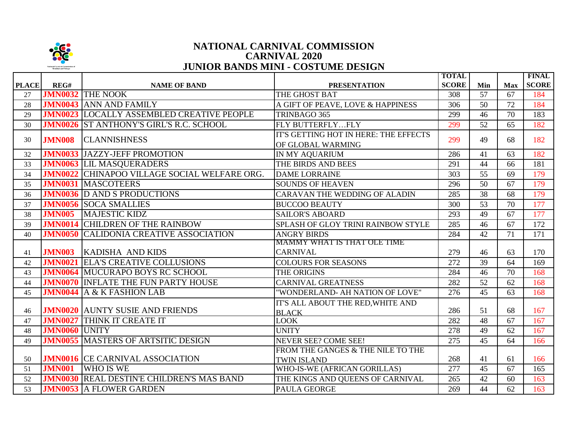

## **NATIONAL CARNIVAL COMMISSION JUNIOR BANDS MINI - COSTUME DESIGN CARNIVAL 2020**

|              |                      |                                                     |                                       | <b>TOTAL</b> |     |            | <b>FINAL</b> |
|--------------|----------------------|-----------------------------------------------------|---------------------------------------|--------------|-----|------------|--------------|
| <b>PLACE</b> | REG#                 | <b>NAME OF BAND</b>                                 | <b>PRESENTATION</b>                   | <b>SCORE</b> | Min | <b>Max</b> | <b>SCORE</b> |
| 27           |                      | <b>JMN0032 THE NOOK</b>                             | THE GHOST BAT                         | 308          | 57  | 67         | 184          |
| 28           |                      | <b>JMN0043 ANN AND FAMILY</b>                       | A GIFT OF PEAVE, LOVE & HAPPINESS     | 306          | 50  | 72         | 184          |
| 29           |                      | <b>JMN0023 LOCALLY ASSEMBLED CREATIVE PEOPLE</b>    | TRINBAGO 365                          | 299          | 46  | 70         | 183          |
| 30           |                      | <b>JMN0026 ST ANTHONY'S GIRL'S R.C. SCHOOL</b>      | FLY BUTTERFLYFLY                      | 299          | 52  | 65         | 182          |
| 30           |                      |                                                     | IT'S GETTING HOT IN HERE: THE EFFECTS | 299          | 49  | 68         | 182          |
|              | <b>JMN008</b>        | <b>CLANNISHNESS</b>                                 | OF GLOBAL WARMING                     |              |     |            |              |
| 32           |                      | <b>JMN0033 JAZZY-JEFF PROMOTION</b>                 | IN MY AQUARIUM                        | 286          | 41  | 63         | 182          |
| 33           |                      | <b>JMN0063 LIL MASQUERADERS</b>                     | THE BIRDS AND BEES                    | 291          | 44  | 66         | 181          |
| 34           |                      | <b>JMN0022</b> CHINAPOO VILLAGE SOCIAL WELFARE ORG. | <b>DAME LORRAINE</b>                  | 303          | 55  | 69         | 179          |
| 35           |                      | <b>JMN0031 MASCOTEERS</b>                           | <b>SOUNDS OF HEAVEN</b>               | 296          | 50  | 67         | 179          |
| 36           |                      | <b>JMN0036</b> D AND S PRODUCTIONS                  | <b>CARAVAN THE WEDDING OF ALADIN</b>  | 285          | 38  | 68         | 179          |
| 37           |                      | <b>JMN0056 SOCA SMALLIES</b>                        | <b>BUCCOO BEAUTY</b>                  | 300          | 53  | 70         | 177          |
| 38           | <b>JMN005</b>        | <b>MAJESTIC KIDZ</b>                                | <b>SAILOR'S ABOARD</b>                | 293          | 49  | 67         | 177          |
| 39           |                      | <b>JMN0014 CHILDREN OF THE RAINBOW</b>              | SPLASH OF GLOY TRINI RAINBOW STYLE    | 285          | 46  | 67         | 172          |
| 40           | <b>JMN0050</b>       | <b>CALIDONIA CREATIVE ASSOCIATION</b>               | <b>ANGRY BIRDS</b>                    | 284          | 42  | 71         | 171          |
|              |                      |                                                     | <b>MAMMY WHAT IS THAT OLE TIME</b>    |              |     |            |              |
| 41           | <b>JMN003</b>        | <b>KADISHA AND KIDS</b>                             | <b>CARNIVAL</b>                       | 279          | 46  | 63         | 170          |
| 42           | <b>JMN0021</b>       | <b>ELA'S CREATIVE COLLUSIONS</b>                    | <b>COLOURS FOR SEASONS</b>            | 272          | 39  | 64         | 169          |
| 43           |                      | <b>JMN0064 MUCURAPO BOYS RC SCHOOL</b>              | THE ORIGINS                           | 284          | 46  | 70         | 168          |
| 44           | <b>JMN0070</b>       | <b>INFLATE THE FUN PARTY HOUSE</b>                  | <b>CARNIVAL GREATNESS</b>             | 282          | 52  | 62         | 168          |
| 45           | <b>JMN0044</b>       | A & K FASHION LAB                                   | "WONDERLAND- AH NATION OF LOVE"       | 276          | 45  | 63         | 168          |
|              |                      |                                                     | IT'S ALL ABOUT THE RED, WHITE AND     |              |     |            |              |
| 46           |                      | <b>JMN0020 AUNTY SUSIE AND FRIENDS</b>              | <b>BLACK</b>                          | 286          | 51  | 68         | 167          |
| 47           | <b>JMN0027</b>       | <b>THINK IT CREATE IT</b>                           | <b>LOOK</b>                           | 282          | 48  | 67         | 167          |
| 48           | <b>JMN0060 UNITY</b> |                                                     | <b>UNITY</b>                          | 278          | 49  | 62         | 167          |
| 49           |                      | <b>JMN0055 MASTERS OF ARTSITIC DESIGN</b>           | <b>NEVER SEE? COME SEE!</b>           | 275          | 45  | 64         | 166          |
|              |                      |                                                     | FROM THE GANGES & THE NILE TO THE     |              |     |            |              |
| 50           |                      | <b>JMN0016 CE CARNIVAL ASSOCIATION</b>              | <b>TWIN ISLAND</b>                    | 268          | 41  | 61         | 166          |
| 51           | <b>JMN001</b>        | <b>WHO IS WE</b>                                    | WHO-IS-WE (AFRICAN GORILLAS)          | 277          | 45  | 67         | 165          |
| 52           | <b>JMN0030</b>       | <b>REAL DESTIN'E CHILDREN'S MAS BAND</b>            | THE KINGS AND QUEENS OF CARNIVAL      | 265          | 42  | 60         | 163          |
| 53           |                      | <b>JMN0053</b> A FLOWER GARDEN                      | PAULA GEORGE                          | 269          | 44  | 62         | 163          |